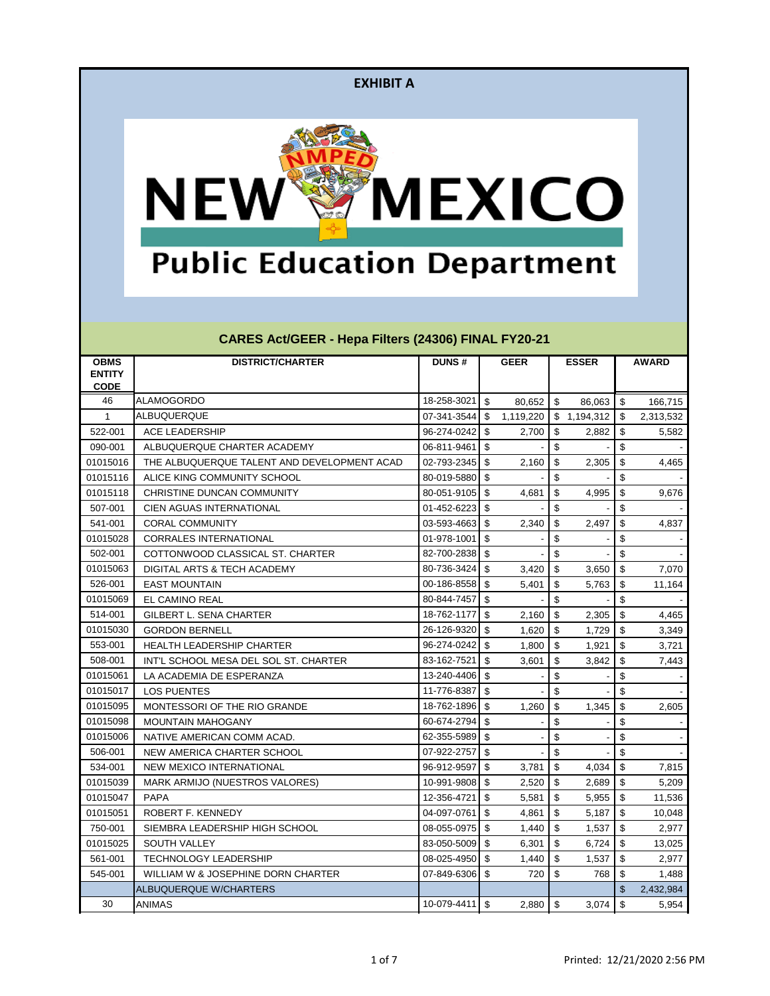

# **Public Education Department**

| <b>OBMS</b>   | <b>DISTRICT/CHARTER</b>                     | <b>DUNS#</b>     |                           | <b>GEER</b> |                           | <b>ESSER</b> |                           | <b>AWARD</b> |
|---------------|---------------------------------------------|------------------|---------------------------|-------------|---------------------------|--------------|---------------------------|--------------|
| <b>ENTITY</b> |                                             |                  |                           |             |                           |              |                           |              |
| <b>CODE</b>   |                                             |                  |                           |             |                           |              |                           |              |
| 46            | <b>ALAMOGORDO</b>                           | 18-258-3021      | \$                        | 80,652      | \$                        | 86,063       | \$                        | 166,715      |
| $\mathbf{1}$  | ALBUQUERQUE                                 | 07-341-3544      | $\sqrt[6]{3}$             | 1,119,220   | <b>S</b>                  | 1,194,312    | -\$                       | 2,313,532    |
| 522-001       | <b>ACE LEADERSHIP</b>                       | 96-274-0242      | $\sqrt[6]{3}$             | 2,700       | $\sqrt[6]{3}$             | 2,882        | \$                        | 5,582        |
| 090-001       | ALBUQUERQUE CHARTER ACADEMY                 | 06-811-9461      | $\sqrt[6]{\frac{1}{2}}$   |             | $\boldsymbol{\mathsf{S}}$ |              | \$                        |              |
| 01015016      | THE ALBUQUERQUE TALENT AND DEVELOPMENT ACAD | 02-793-2345      | $\sqrt[6]{3}$             | 2,160       | $\sqrt[6]{3}$             | 2,305        | $\boldsymbol{\mathsf{S}}$ | 4,465        |
| 01015116      | ALICE KING COMMUNITY SCHOOL                 | 80-019-5880      | \$                        |             | \$                        |              | \$                        |              |
| 01015118      | CHRISTINE DUNCAN COMMUNITY                  | 80-051-9105      | \$                        | 4,681       | $\boldsymbol{\mathsf{S}}$ | 4,995        | $\boldsymbol{\mathsf{S}}$ | 9,676        |
| 507-001       | CIEN AGUAS INTERNATIONAL                    | 01-452-6223      | $\mathfrak{S}$            |             | \$                        |              | \$                        |              |
| 541-001       | <b>CORAL COMMUNITY</b>                      | 03-593-4663      | $\mathfrak{S}$            | 2,340       | $\sqrt[6]{3}$             | 2,497        | \$                        | 4,837        |
| 01015028      | <b>CORRALES INTERNATIONAL</b>               | 01-978-1001      | \$                        |             | \$                        |              | \$                        |              |
| 502-001       | COTTONWOOD CLASSICAL ST. CHARTER            | 82-700-2838      | $\sqrt{2}$                |             | \$                        |              | \$                        |              |
| 01015063      | DIGITAL ARTS & TECH ACADEMY                 | 80-736-3424      | \$                        | 3,420       | $\boldsymbol{\mathsf{S}}$ | 3,650        | \$                        | 7,070        |
| 526-001       | <b>EAST MOUNTAIN</b>                        | 00-186-8558      | \$                        | 5,401       | \$                        | 5,763        | \$                        | 11,164       |
| 01015069      | EL CAMINO REAL                              | 80-844-7457      | $\sqrt[6]{\frac{1}{2}}$   |             | \$                        |              | $\boldsymbol{\mathsf{S}}$ |              |
| 514-001       | <b>GILBERT L. SENA CHARTER</b>              | 18-762-1177      | $\sqrt[6]{3}$             | 2,160       | $\sqrt[6]{3}$             | 2,305        | $\boldsymbol{\mathsf{S}}$ | 4,465        |
| 01015030      | <b>GORDON BERNELL</b>                       | 26-126-9320      | \$                        | 1,620       | \$                        | 1,729        | \$                        | 3,349        |
| 553-001       | <b>HEALTH LEADERSHIP CHARTER</b>            | 96-274-0242      | $\mathfrak{S}$            | 1,800       | $\mathfrak{S}$            | 1,921        | \$                        | 3,721        |
| 508-001       | INT'L SCHOOL MESA DEL SOL ST. CHARTER       | 83-162-7521      | \$                        | 3,601       | \$                        | 3,842        | \$                        | 7,443        |
| 01015061      | LA ACADEMIA DE ESPERANZA                    | 13-240-4406      | $\sqrt[6]{\frac{1}{2}}$   |             | \$                        |              | \$                        |              |
| 01015017      | <b>LOS PUENTES</b>                          | 11-776-8387      | $\boldsymbol{\mathsf{S}}$ |             | \$                        |              | \$                        |              |
| 01015095      | MONTESSORI OF THE RIO GRANDE                | 18-762-1896      | -\$                       | 1,260       | \$                        | 1,345        | \$                        | 2,605        |
| 01015098      | <b>MOUNTAIN MAHOGANY</b>                    | 60-674-2794      | $\mathfrak{S}$            |             | \$                        |              | \$                        |              |
| 01015006      | NATIVE AMERICAN COMM ACAD.                  | 62-355-5989      | $\boldsymbol{\mathsf{S}}$ |             | \$                        |              | \$                        |              |
| 506-001       | NEW AMERICA CHARTER SCHOOL                  | 07-922-2757      | $\sqrt{2}$                |             | \$                        |              | $\boldsymbol{\mathsf{S}}$ |              |
| 534-001       | NEW MEXICO INTERNATIONAL                    | 96-912-9597      | $\sqrt{2}$                | 3,781       | $\sqrt[6]{3}$             | 4,034        | \$                        | 7,815        |
| 01015039      | MARK ARMIJO (NUESTROS VALORES)              | 10-991-9808      | $\sqrt[6]{3}$             | 2,520       | $\sqrt[6]{3}$             | 2,689        | $\sqrt{2}$                | 5,209        |
| 01015047      | <b>PAPA</b>                                 | 12-356-4721      | \$                        | 5,581       | \$                        | 5,955        | \$                        | 11,536       |
| 01015051      | ROBERT F. KENNEDY                           | 04-097-0761      | \$                        | 4,861       | \$                        | 5,187        | \$                        | 10,048       |
| 750-001       | SIEMBRA LEADERSHIP HIGH SCHOOL              | 08-055-0975 \$   |                           |             |                           | 1,537        | \$                        | 2,977        |
| 01015025      | SOUTH VALLEY                                | 83-050-5009      | $\boldsymbol{\mathsf{S}}$ | 6,301       | $\sqrt[6]{\frac{1}{2}}$   | 6,724        | $\sqrt{2}$                | 13,025       |
| 561-001       | <b>TECHNOLOGY LEADERSHIP</b>                | 08-025-4950      | $\mathfrak{S}$            | 1,440       | $\mathfrak{F}$            | 1,537        | $\sqrt[6]{\frac{1}{2}}$   | 2,977        |
| 545-001       | WILLIAM W & JOSEPHINE DORN CHARTER          | 07-849-6306      | \$                        | 720         | \$                        | 768          | $\frac{1}{2}$             | 1,488        |
|               | <b>ALBUQUERQUE W/CHARTERS</b>               |                  |                           |             |                           |              | $\mathfrak{L}$            | 2,432,984    |
| 30            | <b>ANIMAS</b>                               | $10-079-4411$ \$ |                           | 2,880       | $\sqrt{3}$                | 3,074        | $\sqrt[6]{3}$             | 5,954        |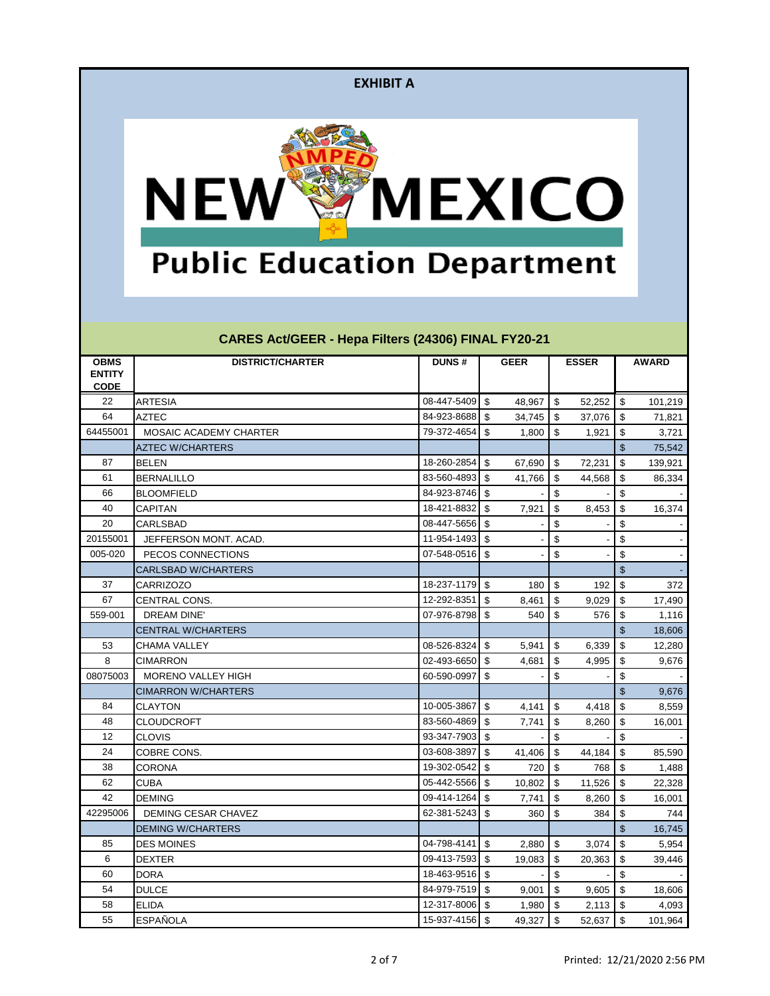

# **Public Education Department**

| <b>OBMS</b>   | <b>DISTRICT/CHARTER</b>       | <b>DUNS#</b>   |                           | <b>GEER</b> |                           | <b>ESSER</b> |                         | <b>AWARD</b> |
|---------------|-------------------------------|----------------|---------------------------|-------------|---------------------------|--------------|-------------------------|--------------|
| <b>ENTITY</b> |                               |                |                           |             |                           |              |                         |              |
| <b>CODE</b>   |                               |                |                           |             |                           |              |                         |              |
| 22            | <b>ARTESIA</b>                | 08-447-5409    | $\sqrt[6]{3}$             | 48,967      | \$                        | 52,252       | $\sqrt[6]{3}$           | 101,219      |
| 64            | <b>AZTEC</b>                  | 84-923-8688    | $\sqrt[6]{3}$             | 34,745      | $\sqrt{2}$                | 37,076       | \$                      | 71,821       |
| 64455001      | <b>MOSAIC ACADEMY CHARTER</b> | 79-372-4654    | $\sqrt[6]{3}$             | 1,800       | \$                        | 1,921        | \$                      | 3,721        |
|               | <b>AZTEC W/CHARTERS</b>       |                |                           |             |                           |              | \$                      | 75,542       |
| 87            | <b>BELEN</b>                  | 18-260-2854    | \$                        | 67,690      | \$                        | 72,231       | \$                      | 139,921      |
| 61            | <b>BERNALILLO</b>             | 83-560-4893    | $\sqrt[6]{3}$             | 41,766      | \$                        | 44,568       | \$                      | 86,334       |
| 66            | <b>BLOOMFIELD</b>             | 84-923-8746    | $\mathfrak{S}$            |             | \$                        |              | \$                      |              |
| 40            | <b>CAPITAN</b>                | 18-421-8832    | \$                        | 7,921       | \$                        | 8,453        | \$                      | 16,374       |
| 20            | CARLSBAD                      | 08-447-5656    | \$                        |             | \$                        |              | \$                      |              |
| 20155001      | JEFFERSON MONT. ACAD.         | 11-954-1493    | $\sqrt[6]{3}$             |             | \$                        |              | \$                      |              |
| 005-020       | PECOS CONNECTIONS             | 07-548-0516    | $\sqrt{2}$                |             | \$                        |              | \$                      |              |
|               | <b>CARLSBAD W/CHARTERS</b>    |                |                           |             |                           |              | \$                      |              |
| 37            | <b>CARRIZOZO</b>              | 18-237-1179    | $\sqrt[6]{3}$             | 180         | $\sqrt{2}$                | 192          | \$                      | 372          |
| 67            | CENTRAL CONS.                 | 12-292-8351    | \$                        | 8,461       | \$                        | 9,029        | \$                      | 17,490       |
| 559-001       | <b>DREAM DINE'</b>            | 07-976-8798    | \$                        | 540         | \$                        | 576          | \$                      | 1,116        |
|               | <b>CENTRAL W/CHARTERS</b>     |                |                           |             |                           |              | \$                      | 18,606       |
| 53            | <b>CHAMA VALLEY</b>           | 08-526-8324    | $\boldsymbol{\$}$         | 5,941       | \$                        | 6,339        | \$                      | 12,280       |
| 8             | <b>CIMARRON</b>               | 02-493-6650    | $\sqrt[6]{3}$             | 4,681       | \$                        | 4,995        | \$                      | 9,676        |
| 08075003      | <b>MORENO VALLEY HIGH</b>     | 60-590-0997    | \$                        |             | \$                        |              | \$                      |              |
|               | <b>CIMARRON W/CHARTERS</b>    |                |                           |             |                           |              | \$                      | 9,676        |
| 84            | <b>CLAYTON</b>                | 10-005-3867    | $\sqrt[6]{3}$             | 4,141       | \$                        | 4,418        | $\sqrt[6]{3}$           | 8,559        |
| 48            | <b>CLOUDCROFT</b>             | 83-560-4869    | \$                        | 7,741       | \$                        | 8,260        | \$                      | 16,001       |
| 12            | <b>CLOVIS</b>                 | 93-347-7903    | \$                        |             | \$                        |              | \$                      |              |
| 24            | COBRE CONS.                   | 03-608-3897    | \$                        | 41,406      | \$                        | 44,184       | \$                      | 85,590       |
| 38            | <b>CORONA</b>                 | 19-302-0542    | \$                        | 720         | \$                        | 768          | \$                      | 1,488        |
| 62            | <b>CUBA</b>                   | 05-442-5566    | $\sqrt[6]{3}$             | 10,802      | \$                        | 11,526       | \$                      | 22,328       |
| 42            | <b>DEMING</b>                 | 09-414-1264    | \$                        | 7,741       | \$                        | 8,260        | \$                      | 16,001       |
| 42295006      | DEMING CESAR CHAVEZ           | 62-381-5243    | \$                        | 360         | \$                        | 384          | \$                      | 744          |
|               | <b>DEMING W/CHARTERS</b>      |                |                           |             |                           |              | $\boldsymbol{\theta}$   | 16,745       |
| 85            | <b>DES MOINES</b>             | 04-798-4141    | $\mathfrak{S}$            | 2,880       | $\boldsymbol{\mathsf{S}}$ | 3,074        | \$                      | 5,954        |
| 6             | <b>DEXTER</b>                 | 09-413-7593    | $\boldsymbol{\mathsf{S}}$ | 19,083      | \$                        | 20,363       | $\sqrt[6]{\frac{1}{2}}$ | 39,446       |
| 60            | <b>DORA</b>                   | 18-463-9516    | $\boldsymbol{\mathsf{S}}$ |             | \$                        |              | \$                      |              |
| 54            | <b>DULCE</b>                  | 84-979-7519    | $\sqrt[6]{3}$             | 9,001       | \$                        | 9,605        | $\sqrt[6]{3}$           | 18,606       |
| 58            | <b>ELIDA</b>                  | 12-317-8006    | \$                        | 1,980       | \$                        | 2,113        | $\sqrt[6]{3}$           | 4,093        |
| 55            | <b>ESPAÑOLA</b>               | 15-937-4156 \$ |                           | 49,327      | $\boldsymbol{\mathsf{S}}$ | 52,637       | $\sqrt[6]{3}$           | 101,964      |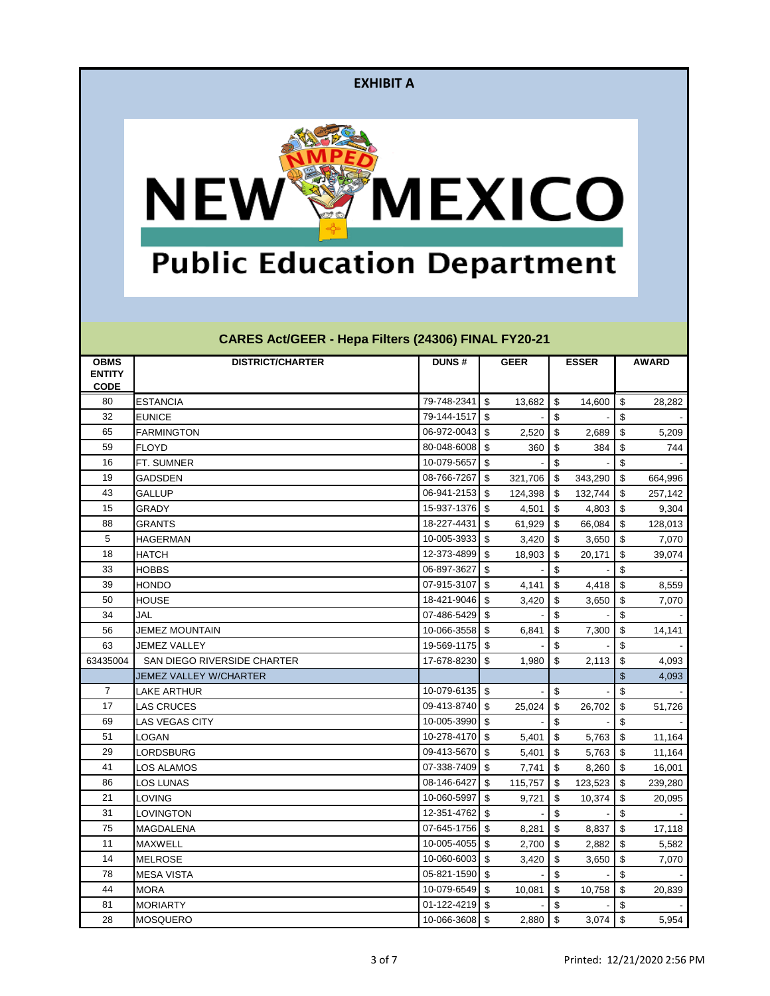

# **Public Education Department**

| <b>OBMS</b>   | <b>DISTRICT/CHARTER</b>       | <b>DUNS#</b>   |                           | <b>GEER</b> |                         | <b>ESSER</b> |                           | <b>AWARD</b> |
|---------------|-------------------------------|----------------|---------------------------|-------------|-------------------------|--------------|---------------------------|--------------|
| <b>ENTITY</b> |                               |                |                           |             |                         |              |                           |              |
| <b>CODE</b>   |                               |                |                           |             |                         |              |                           |              |
| 80            | <b>ESTANCIA</b>               | 79-748-2341    | $\sqrt[6]{2}$             | 13,682      | \$                      | 14,600       | $\sqrt[6]{3}$             | 28,282       |
| 32            | <b>EUNICE</b>                 | 79-144-1517    | \$                        |             | \$                      |              | \$                        |              |
| 65            | <b>FARMINGTON</b>             | 06-972-0043    | \$                        | 2,520       | \$                      | 2,689        | \$                        | 5,209        |
| 59            | <b>FLOYD</b>                  | 80-048-6008    | \$                        | 360         | \$                      | 384          | \$                        | 744          |
| 16            | FT. SUMNER                    | 10-079-5657    | \$                        |             | \$                      |              | \$                        |              |
| 19            | <b>GADSDEN</b>                | 08-766-7267    | \$                        | 321,706     | \$                      | 343,290      | $\sqrt[6]{3}$             | 664,996      |
| 43            | <b>GALLUP</b>                 | 06-941-2153    | \$                        | 124,398     | \$                      | 132,744      | -\$                       | 257,142      |
| 15            | <b>GRADY</b>                  | 15-937-1376    | \$                        | 4,501       | \$                      | 4,803        | -\$                       | 9,304        |
| 88            | <b>GRANTS</b>                 | 18-227-4431    | \$                        | 61,929      | \$                      | 66,084       | -\$                       | 128,013      |
| 5             | HAGERMAN                      | 10-005-3933    | \$                        | 3,420       | \$                      | 3,650        | \$                        | 7,070        |
| 18            | <b>HATCH</b>                  | 12-373-4899    | \$                        | 18,903      | \$                      | 20,171       | \$                        | 39,074       |
| 33            | <b>HOBBS</b>                  | 06-897-3627    | \$                        |             | \$                      |              | \$                        |              |
| 39            | <b>HONDO</b>                  | 07-915-3107    | \$                        | 4,141       | \$                      | 4,418        | -\$                       | 8,559        |
| 50            | <b>HOUSE</b>                  | 18-421-9046    | \$                        | 3,420       | \$                      | 3,650        | \$                        | 7,070        |
| 34            | <b>JAL</b>                    | 07-486-5429    | \$                        |             | \$                      |              | \$                        |              |
| 56            | <b>JEMEZ MOUNTAIN</b>         | 10-066-3558    | \$                        | 6,841       | \$                      | 7,300        | $\sqrt{2}$                | 14,141       |
| 63            | <b>JEMEZ VALLEY</b>           | 19-569-1175    | \$                        |             | \$                      |              | \$                        |              |
| 63435004      | SAN DIEGO RIVERSIDE CHARTER   | 17-678-8230    | $\boldsymbol{\mathsf{S}}$ | 1,980       | \$                      | 2,113        | \$                        | 4,093        |
|               | <b>JEMEZ VALLEY W/CHARTER</b> |                |                           |             |                         |              | $\boldsymbol{\mathsf{S}}$ | 4,093        |
| 7             | LAKE ARTHUR                   | 10-079-6135    | $\boldsymbol{\mathsf{S}}$ |             | \$                      |              | \$                        |              |
| 17            | <b>LAS CRUCES</b>             | 09-413-8740    | \$                        | 25,024      | \$                      | 26,702       | \$                        | 51,726       |
| 69            | LAS VEGAS CITY                | 10-005-3990    | \$                        |             | \$                      |              | \$                        |              |
| 51            | <b>LOGAN</b>                  | 10-278-4170    | \$                        | 5,401       | \$                      | 5,763        | $\sqrt[6]{3}$             | 11,164       |
| 29            | <b>LORDSBURG</b>              | 09-413-5670    | \$                        | 5,401       | \$                      | 5,763        | \$                        | 11,164       |
| 41            | LOS ALAMOS                    | 07-338-7409    | \$                        | 7,741       | \$                      | 8,260        | -\$                       | 16,001       |
| 86            | <b>LOS LUNAS</b>              | 08-146-6427    | \$                        | 115,757     | \$                      | 123,523      | $\sqrt[6]{3}$             | 239,280      |
| 21            | LOVING                        | 10-060-5997    | \$                        | 9,721       | \$                      | 10,374       | \$                        | 20,095       |
| 31            | LOVINGTON                     | 12-351-4762    | \$                        |             | \$                      |              | \$                        |              |
| 75            | <b>MAGDALENA</b>              | 07-645-1756 \$ |                           | $8,281$ \$  |                         | $8,837$ \$   |                           | 17,118       |
| 11            | MAXWELL                       | 10-005-4055    | \$                        | 2,700       | \$                      | 2,882        | -\$                       | 5,582        |
| 14            | <b>MELROSE</b>                | 10-060-6003    | $\sqrt[6]{\frac{1}{2}}$   | 3,420       | $\sqrt[6]{\frac{1}{2}}$ | 3,650        | $\sqrt[6]{3}$             | 7,070        |
| 78            | <b>MESA VISTA</b>             | 05-821-1590    | $\boldsymbol{\$}$         |             | \$                      |              | $\boldsymbol{\$}$         |              |
| 44            | <b>MORA</b>                   | 10-079-6549    | $\boldsymbol{\mathsf{S}}$ | 10,081      | \$                      | 10,758       | $\sqrt[6]{3}$             | 20,839       |
| 81            | <b>MORIARTY</b>               | 01-122-4219    | \$                        |             | \$                      |              | $\boldsymbol{\$}$         |              |
| 28            | <b>MOSQUERO</b>               | 10-066-3608 \$ |                           | $2,880$ \$  |                         | $3,074$ \$   |                           | 5,954        |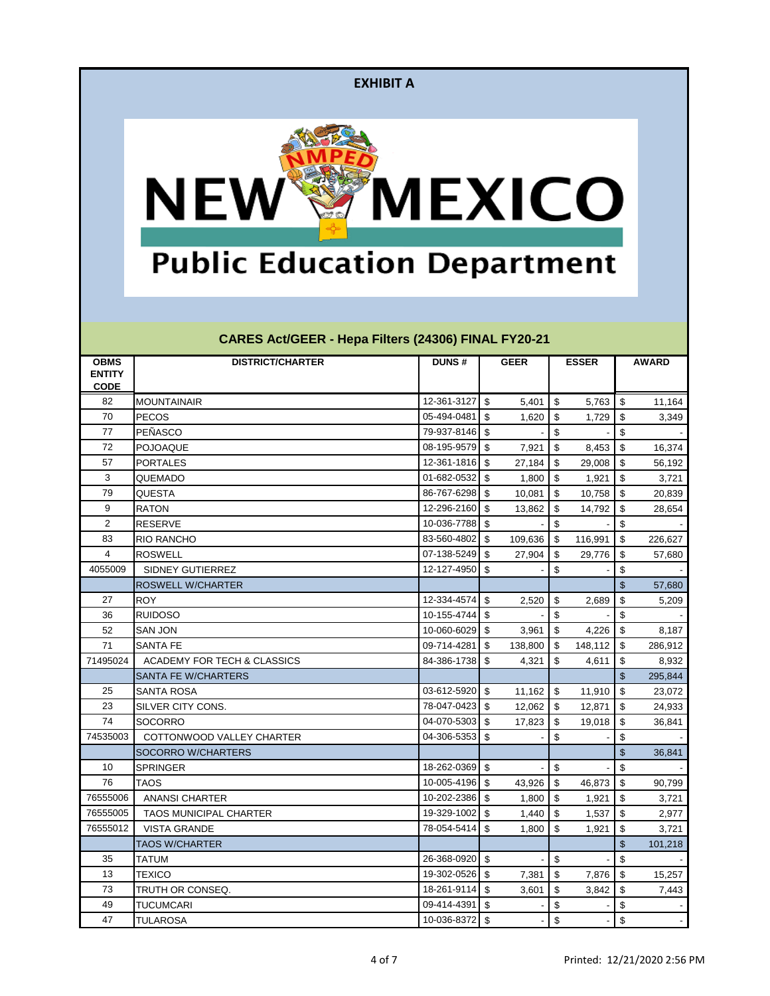

# **Public Education Department**

| <b>OBMS</b>    | <b>DISTRICT/CHARTER</b>       | <b>DUNS#</b>   |                           | <b>GEER</b> |                           | <b>ESSER</b> |                           | <b>AWARD</b> |
|----------------|-------------------------------|----------------|---------------------------|-------------|---------------------------|--------------|---------------------------|--------------|
| <b>ENTITY</b>  |                               |                |                           |             |                           |              |                           |              |
| <b>CODE</b>    |                               |                |                           |             |                           |              |                           |              |
| 82             | <b>MOUNTAINAIR</b>            | 12-361-3127    | $\boldsymbol{\mathsf{S}}$ | 5,401       | \$                        | 5,763        | $\sqrt[6]{3}$             | 11,164       |
| 70             | <b>PECOS</b>                  | 05-494-0481    | \$                        | 1,620       | \$                        | 1,729        | \$                        | 3,349        |
| 77             | PEÑASCO                       | 79-937-8146    | \$                        |             | \$                        |              | \$                        |              |
| 72             | POJOAQUE                      | 08-195-9579    | \$                        | 7,921       | $\boldsymbol{\mathsf{S}}$ | 8,453        | $\sqrt{2}$                | 16,374       |
| 57             | <b>PORTALES</b>               | 12-361-1816    | \$                        | 27,184      | \$                        | 29,008       | \$                        | 56,192       |
| 3              | QUEMADO                       | 01-682-0532    | \$                        | 1,800       | \$                        | 1,921        | \$                        | 3,721        |
| 79             | <b>QUESTA</b>                 | 86-767-6298    | \$                        | 10,081      | \$                        | 10,758       | $\sqrt[6]{3}$             | 20,839       |
| 9              | <b>RATON</b>                  | 12-296-2160    | \$                        | 13,862      | \$                        | 14,792       | \$                        | 28,654       |
| $\overline{c}$ | <b>RESERVE</b>                | 10-036-7788    | \$                        |             | \$                        |              | \$                        |              |
| 83             | <b>RIO RANCHO</b>             | 83-560-4802    | \$                        | 109,636     | \$                        | 116,991      | \$                        | 226,627      |
| 4              | <b>ROSWELL</b>                | 07-138-5249    | $\mathfrak{S}$            | 27,904      | \$                        | 29,776       | \$                        | 57,680       |
| 4055009        | SIDNEY GUTIERREZ              | 12-127-4950    | $\mathfrak{S}$            |             | \$                        |              | \$                        |              |
|                | <b>ROSWELL W/CHARTER</b>      |                |                           |             |                           |              | \$                        | 57,680       |
| 27             | <b>ROY</b>                    | 12-334-4574    | \$                        | 2,520       | \$                        | 2,689        | \$                        | 5,209        |
| 36             | <b>RUIDOSO</b>                | 10-155-4744    | \$                        |             | \$                        |              | \$                        |              |
| 52             | <b>SAN JON</b>                | 10-060-6029    | \$                        | 3,961       | \$                        | 4,226        | $\sqrt[6]{\frac{1}{2}}$   | 8,187        |
| 71             | <b>SANTA FE</b>               | 09-714-4281    | \$                        | 138,800     | \$                        | 148,112      | \$                        | 286,912      |
| 71495024       | ACADEMY FOR TECH & CLASSICS   | 84-386-1738    | \$                        | 4,321       | \$                        | 4,611        | \$                        | 8,932        |
|                | <b>SANTA FE W/CHARTERS</b>    |                |                           |             |                           |              | \$                        | 295,844      |
| 25             | <b>SANTA ROSA</b>             | 03-612-5920    | \$                        | 11,162      | \$                        | 11,910       | \$                        | 23,072       |
| 23             | SILVER CITY CONS.             | 78-047-0423    | \$                        | 12,062      | \$                        | 12,871       | \$                        | 24,933       |
| 74             | <b>SOCORRO</b>                | 04-070-5303    | \$                        | 17,823      | \$                        | 19,018       | \$                        | 36,841       |
| 74535003       | COTTONWOOD VALLEY CHARTER     | 04-306-5353    | \$                        |             | \$                        |              | \$                        |              |
|                | <b>SOCORRO W/CHARTERS</b>     |                |                           |             |                           |              | $\boldsymbol{\mathsf{S}}$ | 36,841       |
| 10             | <b>SPRINGER</b>               | 18-262-0369    | \$                        |             | \$                        |              | \$                        |              |
| 76             | <b>TAOS</b>                   | 10-005-4196    | \$                        | 43,926      | \$                        | 46,873       | $\sqrt[6]{3}$             | 90,799       |
| 76555006       | <b>ANANSI CHARTER</b>         | 10-202-2386    | \$                        | 1,800       | \$                        | 1,921        | \$                        | 3,721        |
| 76555005       | <b>TAOS MUNICIPAL CHARTER</b> | 19-329-1002    | \$                        | 1,440       | \$                        | 1,537        | $\sqrt[6]{3}$             | 2,977        |
| 76555012       | <b>VISTA GRANDE</b>           | 78-054-5414 \$ |                           | $1,800$ \$  |                           | 1,921        | \$                        | 3,721        |
|                | <b>TAOS W/CHARTER</b>         |                |                           |             |                           |              | \$                        | 101,218      |
| 35             | <b>TATUM</b>                  | 26-368-0920    | $\boldsymbol{\mathsf{S}}$ |             | $\boldsymbol{\mathsf{S}}$ |              | \$                        |              |
| 13             | <b>TEXICO</b>                 | 19-302-0526    | $\boldsymbol{\$}$         | 7,381       | $\boldsymbol{\mathsf{S}}$ | 7,876        | $\sqrt[6]{\frac{1}{2}}$   | 15,257       |
| 73             | TRUTH OR CONSEQ.              | 18-261-9114    | \$                        | 3,601       | \$                        | 3,842        | $\sqrt[6]{3}$             | 7,443        |
| 49             | <b>TUCUMCARI</b>              | 09-414-4391    | \$                        |             | \$                        |              | $\sqrt[6]{\frac{1}{2}}$   |              |
| 47             | <b>TULAROSA</b>               | 10-036-8372 \$ |                           |             | \$                        |              | $\boldsymbol{\mathsf{S}}$ |              |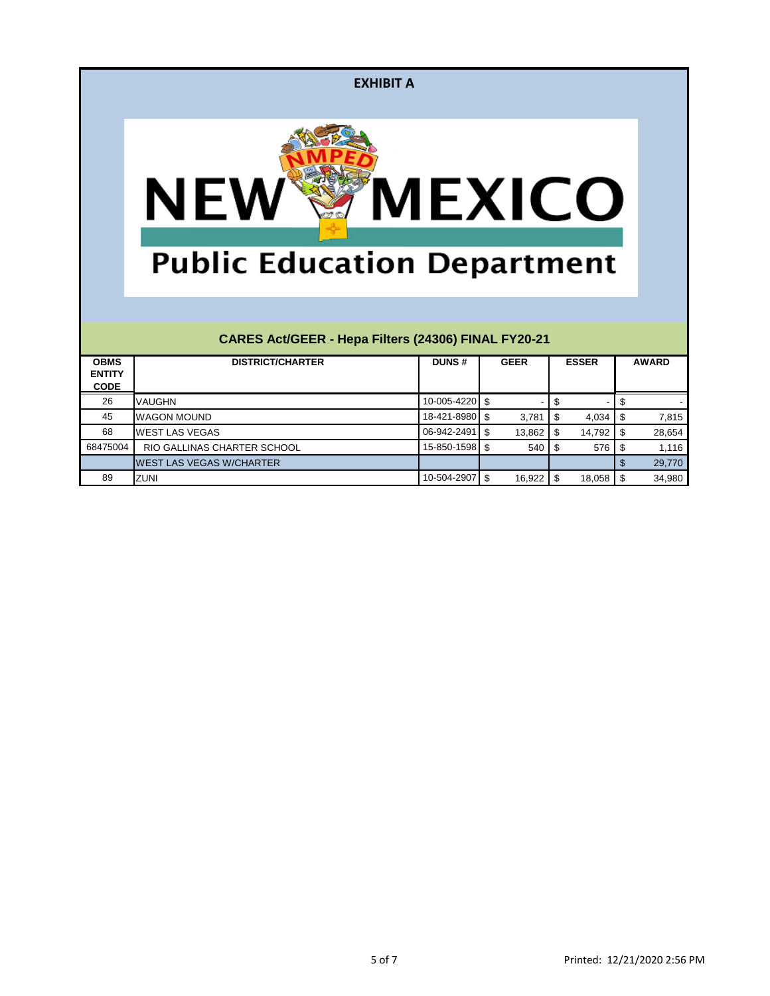| <b>EXHIBIT A</b>                                                 |                                                     |              |                           |              |                              |  |
|------------------------------------------------------------------|-----------------------------------------------------|--------------|---------------------------|--------------|------------------------------|--|
| <b>MEXICO</b><br><b>NE</b><br><b>Public Education Department</b> |                                                     |              |                           |              |                              |  |
|                                                                  | CARES Act/GEER - Hepa Filters (24306) FINAL FY20-21 |              |                           |              |                              |  |
| <b>OBMS</b><br><b>ENTITY</b><br><b>CODE</b>                      | <b>DISTRICT/CHARTER</b>                             | <b>DUNS#</b> | <b>GEER</b>               | <b>ESSER</b> | <b>AWARD</b>                 |  |
| 26                                                               | VAUGHN                                              | 10-005-4220  | \$                        | \$           | \$                           |  |
| 45                                                               | <b>WAGON MOUND</b>                                  | 18-421-8980  | $\mathfrak{S}$<br>3,781   | \$<br>4,034  | \$<br>7,815                  |  |
| 68                                                               | <b>WEST LAS VEGAS</b>                               | 06-942-2491  | $\mathfrak{S}$<br>13,862  | \$<br>14,792 | \$<br>28,654                 |  |
| 68475004                                                         | RIO GALLINAS CHARTER SCHOOL                         | 15-850-1598  | $\mathbf{\hat{s}}$<br>540 | \$<br>576    | \$<br>1,116                  |  |
|                                                                  | <b>WEST LAS VEGAS W/CHARTER</b>                     |              |                           |              | $\mathbf{\hat{z}}$<br>29,770 |  |
| 89                                                               | <b>ZUNI</b>                                         | 10-504-2907  | \$<br>16,922              | \$<br>18,058 | \$<br>34,980                 |  |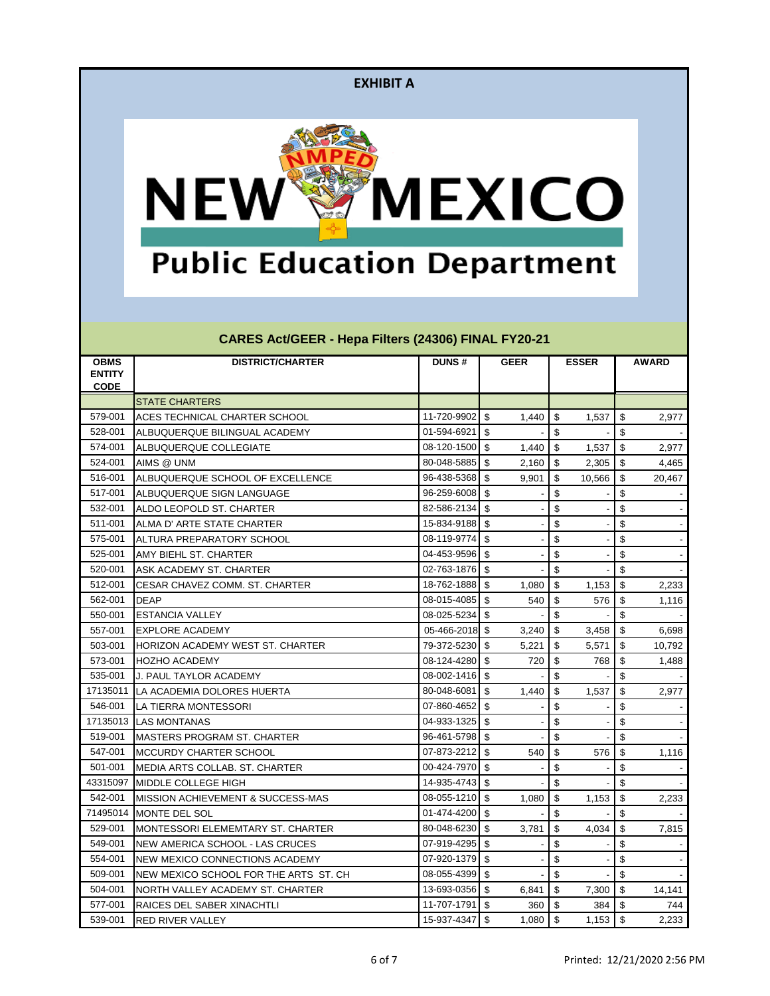

# **Public Education Department**

| <b>OBMS</b><br><b>ENTITY</b><br><b>CODE</b> | <b>DISTRICT/CHARTER</b>                       | <b>DUNS#</b>   | <b>GEER</b>                      | <b>ESSER</b>              | <b>AWARD</b>              |
|---------------------------------------------|-----------------------------------------------|----------------|----------------------------------|---------------------------|---------------------------|
|                                             | <b>STATE CHARTERS</b>                         |                |                                  |                           |                           |
| 579-001                                     | ACES TECHNICAL CHARTER SCHOOL                 | 11-720-9902    | \$<br>1,440                      | \$<br>1,537               | \$<br>2,977               |
| 528-001                                     | ALBUQUERQUE BILINGUAL ACADEMY                 | 01-594-6921    | \$                               | $\sqrt[6]{3}$             | $\boldsymbol{\mathsf{S}}$ |
| 574-001                                     | ALBUQUERQUE COLLEGIATE                        | 08-120-1500    | $\sqrt[6]{\frac{1}{2}}$<br>1,440 | \$<br>1,537               | $\sqrt{2}$<br>2,977       |
| 524-001                                     | AIMS @ UNM                                    | 80-048-5885    | \$<br>2,160                      | \$<br>2,305               | \$<br>4,465               |
| 516-001                                     | ALBUQUERQUE SCHOOL OF EXCELLENCE              | 96-438-5368    | $\sqrt[6]{\frac{1}{2}}$<br>9,901 | -\$<br>10,566             | $\sqrt[6]{3}$<br>20,467   |
| 517-001                                     | ALBUQUERQUE SIGN LANGUAGE                     | 96-259-6008    | \$                               | \$                        | \$                        |
| 532-001                                     | ALDO LEOPOLD ST. CHARTER                      | 82-586-2134    | $\sqrt{3}$                       | \$                        | \$                        |
| 511-001                                     | ALMA D' ARTE STATE CHARTER                    | 15-834-9188    | \$                               | \$                        | \$                        |
| 575-001                                     | ALTURA PREPARATORY SCHOOL                     | 08-119-9774    | \$                               | \$                        | \$                        |
| 525-001                                     | AMY BIEHL ST. CHARTER                         | 04-453-9596    | \$                               | \$                        | \$                        |
| 520-001                                     | <b>ASK ACADEMY ST. CHARTER</b>                | 02-763-1876    | -\$                              | \$                        | \$                        |
| 512-001                                     | <b>ICESAR CHAVEZ COMM. ST. CHARTER</b>        | 18-762-1888 \$ | 1,080                            | $\sqrt[6]{3}$<br>1,153    | \$<br>2,233               |
| 562-001                                     | <b>DEAP</b>                                   | 08-015-4085    | \$<br>540                        | \$<br>576                 | \$<br>1,116               |
| 550-001                                     | <b>ESTANCIA VALLEY</b>                        | 08-025-5234    | -\$                              | $\sqrt[6]{3}$             | \$                        |
| 557-001                                     | IEXPLORE ACADEMY                              | 05-466-2018 \$ | 3,240                            | \$<br>3,458               | $\sqrt[6]{3}$<br>6,698    |
| 503-001                                     | HORIZON ACADEMY WEST ST. CHARTER              | 79-372-5230    | \$<br>5,221                      | \$<br>5,571               | \$<br>10,792              |
| 573-001                                     | <b>HOZHO ACADEMY</b>                          | 08-124-4280    | \$<br>720                        | \$<br>768                 | \$<br>1,488               |
| 535-001                                     | <b>J. PAUL TAYLOR ACADEMY</b>                 | 08-002-1416    | \$                               | \$                        | \$                        |
| 17135011                                    | LA ACADEMIA DOLORES HUERTA                    | 80-048-6081    | \$<br>1,440                      | $\sqrt[6]{3}$<br>1,537    | \$<br>2,977               |
| 546-001                                     | LA TIERRA MONTESSORI                          | 07-860-4652    | \$                               | \$                        | \$                        |
|                                             | 17135013 ILAS MONTANAS                        | 04-933-1325    | \$                               | \$                        | \$                        |
| 519-001                                     | <b>I</b> MASTERS PROGRAM ST. CHARTER          | 96-461-5798 \$ |                                  | \$                        | \$                        |
| 547-001                                     | IMCCURDY CHARTER SCHOOL                       | 07-873-2212    | \$<br>540                        | \$<br>576                 | \$<br>1,116               |
| 501-001                                     | MEDIA ARTS COLLAB. ST. CHARTER                | 00-424-7970    | -\$                              | \$                        | \$                        |
| 43315097                                    | <b>IMIDDLE COLLEGE HIGH</b>                   | 14-935-4743    | $\sqrt{3}$                       | $\boldsymbol{\mathsf{S}}$ | \$                        |
| 542-001                                     | <b>IMISSION ACHIEVEMENT &amp; SUCCESS-MAS</b> | 08-055-1210 \$ | 1,080                            | \$<br>1,153               | \$<br>2,233               |
|                                             | 71495014 MONTE DEL SOL                        | 01-474-4200 \$ |                                  | $\boldsymbol{\mathsf{S}}$ | $\boldsymbol{\mathsf{S}}$ |
| 529-001                                     | MONTESSORI ELEMEMTARY ST. CHARTER             | 80-048-6230 \$ | 3,781                            | \$<br>4,034               | $\sqrt[6]{2}$<br>7,815    |
| 549-001                                     | NEW AMERICA SCHOOL - LAS CRUCES               | 07-919-4295    | $\sqrt{3}$                       | \$                        | \$                        |
| 554-001                                     | NEW MEXICO CONNECTIONS ACADEMY                | 07-920-1379    | \$                               | $\frac{1}{2}$             | \$                        |
| 509-001                                     | NEW MEXICO SCHOOL FOR THE ARTS ST. CH         | 08-055-4399    | \$                               | $\sqrt[6]{\frac{1}{2}}$   | \$                        |
| 504-001                                     | NORTH VALLEY ACADEMY ST. CHARTER              | 13-693-0356    | \$<br>6,841                      | \$<br>7,300               | \$<br>14,141              |
| 577-001                                     | RAICES DEL SABER XINACHTLI                    | 11-707-1791    | \$<br>360                        | \$<br>384                 | -\$<br>744                |
| 539-001                                     | <b>RED RIVER VALLEY</b>                       | 15-937-4347    | $\sqrt[6]{2}$<br>1,080           | \$<br>1,153               | $\sqrt{3}$<br>2,233       |